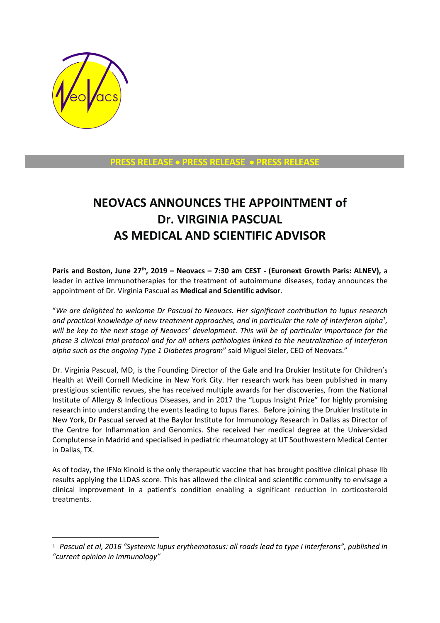

1

**PRESS RELEASE** • **PRESS RELEASE** • **PRESS RELEASE**

## **NEOVACS ANNOUNCES THE APPOINTMENT of Dr. VIRGINIA PASCUAL AS MEDICAL AND SCIENTIFIC ADVISOR**

**Paris and Boston, June 27th, 2019 – Neovacs – 7:30 am CEST - (Euronext Growth Paris: ALNEV),** a leader in active immunotherapies for the treatment of autoimmune diseases, today announces the appointment of Dr. Virginia Pascual as **Medical and Scientific advisor**.

"*We are delighted to welcome Dr Pascual to Neovacs. Her significant contribution to lupus research and practical knowledge of new treatment approaches, and in particular the role of interferon alpha<sup>1</sup> , will be key to the next stage of Neovacs' development. This will be of particular importance for the phase 3 clinical trial protocol and for all others pathologies linked to the neutralization of Interferon alpha such as the ongoing Type 1 Diabetes program*" said Miguel Sieler, CEO of Neovacs."

Dr. Virginia Pascual, MD, is the Founding Director of the Gale and Ira Drukier Institute for Children's Health at Weill Cornell Medicine in New York City. Her research work has been published in many prestigious scientific revues, she has received multiple awards for her discoveries, from the National Institute of Allergy & Infectious Diseases, and in 2017 the "Lupus Insight Prize" for highly promising research into understanding the events leading to lupus flares. Before joining the Drukier Institute in New York, Dr Pascual served at the Baylor Institute for Immunology Research in Dallas as Director of the Centre for Inflammation and Genomics. She received her medical degree at the Universidad Complutense in Madrid and specialised in pediatric rheumatology at UT Southwestern Medical Center in Dallas, TX.

As of today, the IFNα Kinoid is the only therapeutic vaccine that has brought positive clinical phase IIb results applying the LLDAS score. This has allowed the clinical and scientific community to envisage a clinical improvement in a patient's condition enabling a significant reduction in corticosteroid treatments.

<sup>1</sup> *Pascual et al, 2016 "Systemic lupus erythematosus: all roads lead to type I interferons", published in "current opinion in Immunology"*